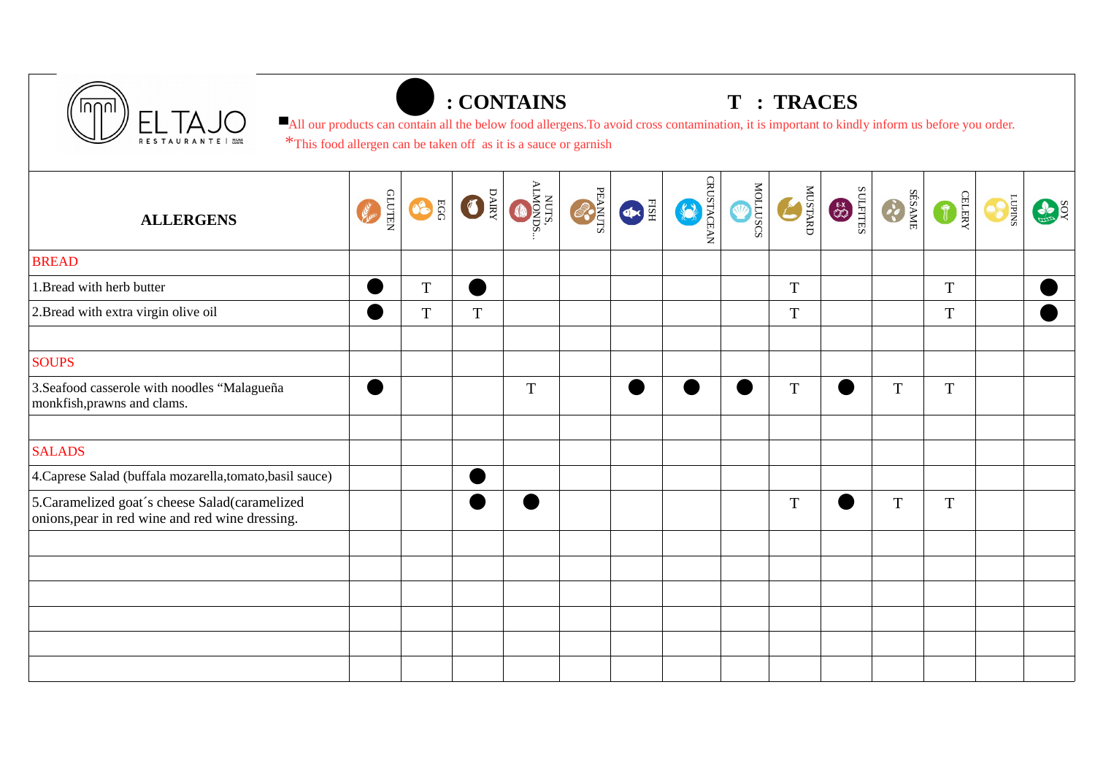



## ⚫**: CONTAINS T : TRACES**

■All our products can contain all the below food allergens.To avoid cross contamination, it is important to kindly inform us before you order. \*This food allergen can be taken off as it is a sauce or garnish

| <b>ALLERGENS</b>                                                                                  | <b>GLUTEN</b><br>letter . | EGG <sup>6</sup> | ORIE        | NUTS.<br>ALMONDS. | <b>CONNER</b> | EISH | <b>CRUSTACEAN</b> | BORTTON | <b>THE SETARD</b> | STILERS | SÉSAME  | GETERX         | <b>CO</b> | SOX |
|---------------------------------------------------------------------------------------------------|---------------------------|------------------|-------------|-------------------|---------------|------|-------------------|---------|-------------------|---------|---------|----------------|-----------|-----|
| <b>BREAD</b>                                                                                      |                           |                  |             |                   |               |      |                   |         |                   |         |         |                |           |     |
| 1. Bread with herb butter                                                                         |                           | $\mathbf T$      |             |                   |               |      |                   |         | T                 |         |         | T              |           |     |
| 2. Bread with extra virgin olive oil                                                              | $\blacksquare$            | $\mathbf T$      | $\mathbf T$ |                   |               |      |                   |         | T                 |         |         | $\mathbf T$    |           |     |
| <b>SOUPS</b>                                                                                      |                           |                  |             |                   |               |      |                   |         |                   |         |         |                |           |     |
| 3. Seafood casserole with noodles "Malagueña<br>monkfish, prawns and clams.                       |                           |                  |             | $\mathbf T$       |               |      |                   |         | $\mathbf T$       |         | $\rm T$ | $\overline{T}$ |           |     |
|                                                                                                   |                           |                  |             |                   |               |      |                   |         |                   |         |         |                |           |     |
| <b>SALADS</b>                                                                                     |                           |                  |             |                   |               |      |                   |         |                   |         |         |                |           |     |
| 4. Caprese Salad (buffala mozarella, tomato, basil sauce)                                         |                           |                  | Ð           |                   |               |      |                   |         |                   |         |         |                |           |     |
| 5. Caramelized goat's cheese Salad(caramelized<br>onions, pear in red wine and red wine dressing. |                           |                  |             |                   |               |      |                   |         | $\mathbf T$       |         | $\rm T$ | T              |           |     |
|                                                                                                   |                           |                  |             |                   |               |      |                   |         |                   |         |         |                |           |     |
|                                                                                                   |                           |                  |             |                   |               |      |                   |         |                   |         |         |                |           |     |
|                                                                                                   |                           |                  |             |                   |               |      |                   |         |                   |         |         |                |           |     |
|                                                                                                   |                           |                  |             |                   |               |      |                   |         |                   |         |         |                |           |     |
|                                                                                                   |                           |                  |             |                   |               |      |                   |         |                   |         |         |                |           |     |
|                                                                                                   |                           |                  |             |                   |               |      |                   |         |                   |         |         |                |           |     |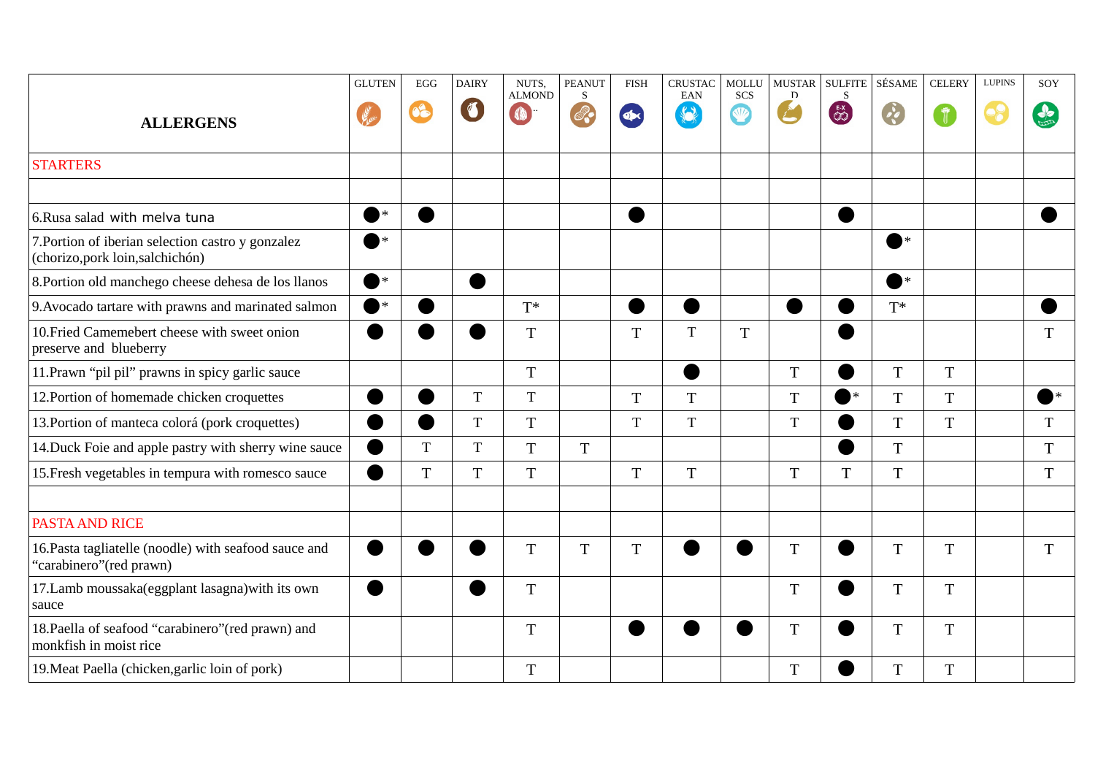|                                                                                       | <b>GLUTEN</b>         | $EGG$       | <b>DAIRY</b> | NUTS.<br><b>ALMOND</b> | <b>PEANUT</b><br><sub>S</sub> | <b>FISH</b> | <b>CRUSTAC</b><br><b>EAN</b>       | <b>MOLLU</b><br><b>SCS</b> | <b>MUSTAR</b><br>$\mathbf{D}$ | <b>SULFITE</b><br>S | SÉSAME                | <b>CELERY</b>      | <b>LUPINS</b> | SOY         |
|---------------------------------------------------------------------------------------|-----------------------|-------------|--------------|------------------------|-------------------------------|-------------|------------------------------------|----------------------------|-------------------------------|---------------------|-----------------------|--------------------|---------------|-------------|
| <b>ALLERGENS</b>                                                                      |                       | 08          | $\sqrt{2}$   | <b>CO</b>              |                               |             | $\left\langle \cdot \right\rangle$ | <b>V</b>                   |                               | $rac{EX}{2}$        |                       | $\hat{\mathbb{r}}$ |               | $\clubsuit$ |
| <b>STARTERS</b>                                                                       |                       |             |              |                        |                               |             |                                    |                            |                               |                     |                       |                    |               |             |
|                                                                                       |                       |             |              |                        |                               |             |                                    |                            |                               |                     |                       |                    |               |             |
| 6. Rusa salad with melva tuna                                                         | $\bullet$             |             |              |                        |                               |             |                                    |                            |                               | œ                   |                       |                    |               |             |
| 7. Portion of iberian selection castro y gonzalez<br>(chorizo, pork loin, salchichón) | $\ast$                |             |              |                        |                               |             |                                    |                            |                               |                     | $\blacktriangleright$ |                    |               |             |
| 8. Portion old manchego cheese dehesa de los llanos                                   | $\bullet^*$           |             |              |                        |                               |             |                                    |                            |                               |                     | $\ast$                |                    |               |             |
| 9. Avocado tartare with prawns and marinated salmon                                   | $\blacktriangleright$ |             |              | $T^*$                  |                               |             |                                    |                            |                               |                     | $T^*$                 |                    |               |             |
| 10. Fried Camemebert cheese with sweet onion<br>preserve and blueberry                |                       |             |              | $\mathbf T$            |                               | $\mathbf T$ | $\mathbf T$                        | $\mathbf T$                |                               |                     |                       |                    |               | $\mathbf T$ |
| 11. Prawn "pil pil" prawns in spicy garlic sauce                                      |                       |             |              | $\mathbf T$            |                               |             |                                    |                            | T                             |                     | $\mathbf T$           | $\mathbf T$        |               |             |
| 12. Portion of homemade chicken croquettes                                            |                       |             | $\mathbf T$  | $\mathbf T$            |                               | $\mathbf T$ | $\overline{T}$                     |                            | T                             | )∗                  | $\overline{T}$        | T                  |               |             |
| 13. Portion of manteca colorá (pork croquettes)                                       |                       | ●           | $\mathbf T$  | $\mathbf T$            |                               | $\mathbf T$ | $\mathbf T$                        |                            | $\mathbf T$                   |                     | $\mathbf T$           | $\mathbf T$        |               | T           |
| 14. Duck Foie and apple pastry with sherry wine sauce                                 |                       | $\mathbf T$ | $\mathbf T$  | $\mathbf T$            | $\mathbf T$                   |             |                                    |                            |                               | ٠                   | $\mathbf T$           |                    |               | T           |
| 15. Fresh vegetables in tempura with romesco sauce                                    |                       | $\mathbf T$ | $\rm T$      | $\mathbf T$            |                               | T           | $\mathbf T$                        |                            | T                             | T                   | $\mathbf T$           |                    |               | T           |
|                                                                                       |                       |             |              |                        |                               |             |                                    |                            |                               |                     |                       |                    |               |             |
| <b>PASTA AND RICE</b>                                                                 |                       |             |              |                        |                               |             |                                    |                            |                               |                     |                       |                    |               |             |
| 16. Pasta tagliatelle (noodle) with seafood sauce and<br>"carabinero" (red prawn)     |                       |             |              | $\mathbf T$            | $\mathbf T$                   | T           |                                    |                            | T                             |                     | $\mathbf T$           | $\mathbf T$        |               | T           |
| 17.Lamb moussaka(eggplant lasagna) with its own<br>sauce                              |                       |             |              | $\mathbf T$            |                               |             |                                    |                            | T                             |                     | $\mathbf T$           | $\mathbf T$        |               |             |
| 18. Paella of seafood "carabinero" (red prawn) and<br>monkfish in moist rice          |                       |             |              | T                      |                               |             |                                    |                            | T                             |                     | T                     | T                  |               |             |
| 19. Meat Paella (chicken, garlic loin of pork)                                        |                       |             |              | $\mathbf T$            |                               |             |                                    |                            | T                             |                     | $\mathbf T$           | $\mathbf T$        |               |             |